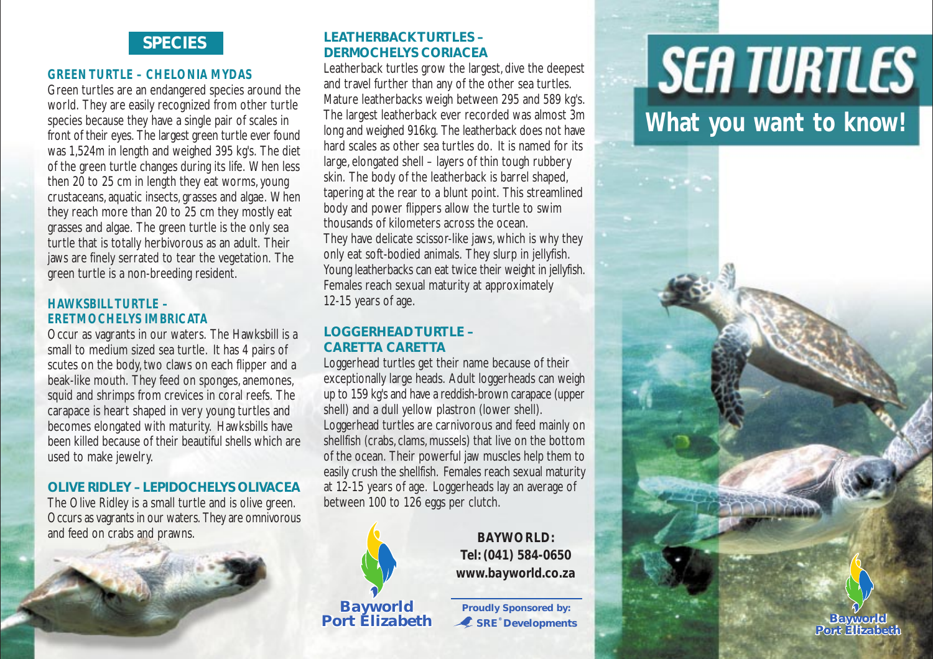# **SPECIES**

### *GREEN TURTLE – CHELONIA MYDAS*

Green turtles are an endangered species around the world. They are easily recognized from other turtle species because they have a single pair of scales in front of their eyes. The largest green turtle ever found was 1,524m in length and weighed 395 kg's. The diet of the green turtle changes during its life. When less then 20 to 25 cm in length they eat worms, young crustaceans, aquatic insects, grasses and algae. When they reach more than 20 to 25 cm they mostly eat grasses and algae. The green turtle is the only sea turtle that is totally herbivorous as an adult. Their jaws are finely serrated to tear the vegetation. The green turtle is a non-breeding resident.

### *HAWKSBILL TURTLE – ERETMOCHELYS IMBRICATA*

Occur as vagrants in our waters. The Hawksbill is a small to medium sized sea turtle. It has 4 pairs of scutes on the body, two claws on each flipper and a beak-like mouth. They feed on sponges, anemones, squid and shrimps from crevices in coral reefs. The carapace is heart shaped in very young turtles and becomes elongated with maturity. Hawksbills have been killed because of their beautiful shells which are used to make jewelry.

# **OLIVE RIDLEY – LEPIDOCHELYS OLIVACEA**

The Olive Ridley is a small turtle and is olive green. Occurs as vagrants in our waters. They are omnivorous and feed on crabs and prawns. **BAYWORLD: BAYWORLD:** 



# **LEATHERBACK TURTLES – DERMOCHELYS CORIACEA**

Leatherback turtles grow the largest, dive the deepest and travel further than any of the other sea turtles. Mature leatherbacks weigh between 295 and 589 kg's. The largest leatherback ever recorded was almost 3m long and weighed 916kg. The leatherback does not have hard scales as other sea turtles do. It is named for its large, elongated shell – layers of thin tough rubbery skin. The body of the leatherback is barrel shaped, tapering at the rear to a blunt point. This streamlined body and power flippers allow the turtle to swim thousands of kilometers across the ocean. They have delicate scissor-like jaws, which is why they only eat soft-bodied animals. They slurp in jellyfish. Young leatherbacks can eat twice their weight in jellyfish. Females reach sexual maturity at approximately 12-15 years of age.

## **LOGGERHEAD TURTLE – CARETTA CARETTA**

Loggerhead turtles get their name because of their exceptionally large heads. Adult loggerheads can weigh up to 159 kg's and have a reddish-brown carapace (upper shell) and a dull yellow plastron (lower shell). Loggerhead turtles are carnivorous and feed mainly on shellfish (crabs, clams, mussels) that live on the bottom of the ocean. Their powerful jaw muscles help them to easily crush the shellfish. Females reach sexual maturity at 12-15 years of age. Loggerheads lay an average of between 100 to 126 eggs per clutch.



*Tel: (041) 584-0650 www.bayworld.co.za*

*Bayworld*

**Port Elizabeth** *C* SRE<sup>*s*</sup> Developments *Bayworld Proudly Sponsored by:*

# **SEA TURTLES**

**What you want to know!**